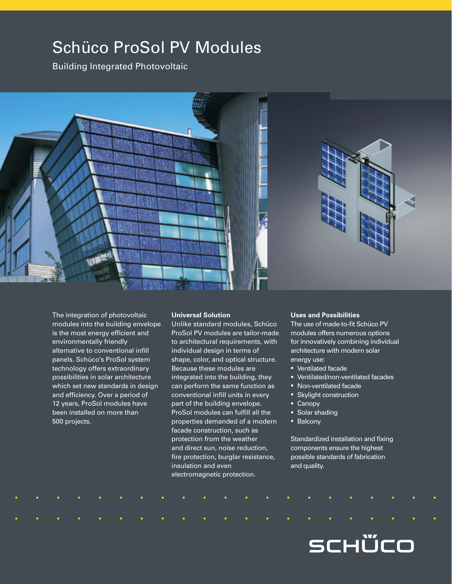# Schüco ProSol PV Modules

Building Integrated Photovoltaic



The integration of photovoltaic modules into the building envelope is the most energy efficient and environmentally friendly alternative to conventional infill panels. Schüco's ProSol system technology offers extraordinary possibilities in solar architecture which set new standards in design and efficiency. Over a period of 12 years, ProSol modules have been installed on more than 500 projects.

#### **Universal Solution**

Unlike standard modules, Schüco ProSol PV modules are tailor-made to architectural requirements, with individual design in terms of shape, color, and optical structure. Because these modules are integrated into the building, they can perform the same function as conventional infill units in every part of the building envelope. ProSol modules can fulfill all the properties demanded of a modern facade construction, such as protection from the weather and direct sun, noise reduction, fire protection, burglar resistance, insulation and even electromagnetic protection.

### **Uses and Possibilities**

The use of made-to-fit Schüco PV modules offers numerous options for innovatively combining individual architecture with modern solar energy use:

- Ventilated facade
- Ventilated/non-ventilated facades
- Non-ventilated facade
- Skylight construction
- Canopy
- Solar shading
- Balcony

Standardized installation and fixing components ensure the highest possible standards of fabrication and quality.

SCHÜCO